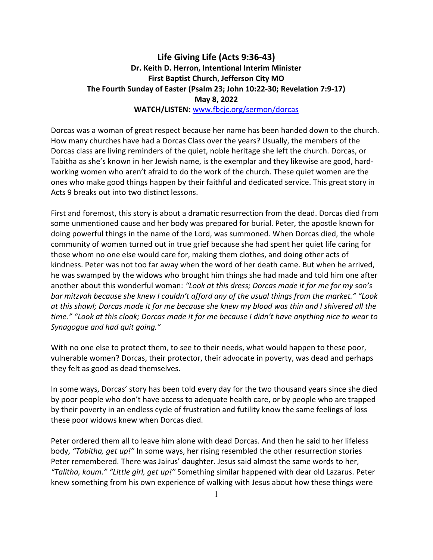## Life Giving Life (Acts 9:36-43) Dr. Keith D. Herron, Intentional Interim Minister First Baptist Church, Jefferson City MO The Fourth Sunday of Easter (Psalm 23; John 10:22-30; Revelation 7:9-17) May 8, 2022 WATCH/LISTEN: www.fbcjc.org/sermon/dorcas

Dorcas was a woman of great respect because her name has been handed down to the church. How many churches have had a Dorcas Class over the years? Usually, the members of the Dorcas class are living reminders of the quiet, noble heritage she left the church. Dorcas, or Tabitha as she's known in her Jewish name, is the exemplar and they likewise are good, hardworking women who aren't afraid to do the work of the church. These quiet women are the ones who make good things happen by their faithful and dedicated service. This great story in Acts 9 breaks out into two distinct lessons.

First and foremost, this story is about a dramatic resurrection from the dead. Dorcas died from some unmentioned cause and her body was prepared for burial. Peter, the apostle known for doing powerful things in the name of the Lord, was summoned. When Dorcas died, the whole community of women turned out in true grief because she had spent her quiet life caring for those whom no one else would care for, making them clothes, and doing other acts of kindness. Peter was not too far away when the word of her death came. But when he arrived, he was swamped by the widows who brought him things she had made and told him one after another about this wonderful woman: "Look at this dress; Dorcas made it for me for my son's bar mitzvah because she knew I couldn't afford any of the usual things from the market." "Look at this shawl; Dorcas made it for me because she knew my blood was thin and I shivered all the time." "Look at this cloak; Dorcas made it for me because I didn't have anything nice to wear to Synagogue and had quit going."

With no one else to protect them, to see to their needs, what would happen to these poor, vulnerable women? Dorcas, their protector, their advocate in poverty, was dead and perhaps they felt as good as dead themselves.

In some ways, Dorcas' story has been told every day for the two thousand years since she died by poor people who don't have access to adequate health care, or by people who are trapped by their poverty in an endless cycle of frustration and futility know the same feelings of loss these poor widows knew when Dorcas died.

Peter ordered them all to leave him alone with dead Dorcas. And then he said to her lifeless body, "Tabitha, get up!" In some ways, her rising resembled the other resurrection stories Peter remembered. There was Jairus' daughter. Jesus said almost the same words to her, "Talitha, koum." "Little girl, get up!" Something similar happened with dear old Lazarus. Peter knew something from his own experience of walking with Jesus about how these things were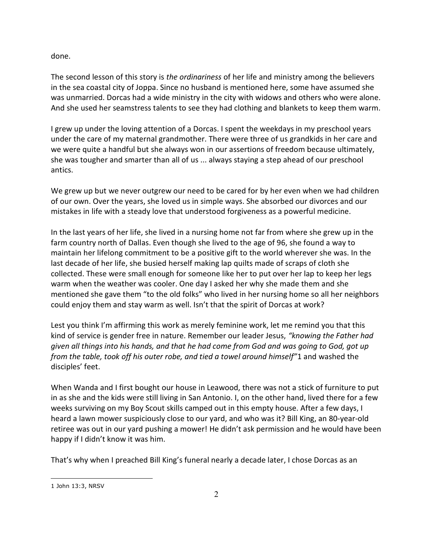done.

The second lesson of this story is the ordinariness of her life and ministry among the believers in the sea coastal city of Joppa. Since no husband is mentioned here, some have assumed she was unmarried. Dorcas had a wide ministry in the city with widows and others who were alone. And she used her seamstress talents to see they had clothing and blankets to keep them warm.

I grew up under the loving attention of a Dorcas. I spent the weekdays in my preschool years under the care of my maternal grandmother. There were three of us grandkids in her care and we were quite a handful but she always won in our assertions of freedom because ultimately, she was tougher and smarter than all of us ... always staying a step ahead of our preschool antics.

We grew up but we never outgrew our need to be cared for by her even when we had children of our own. Over the years, she loved us in simple ways. She absorbed our divorces and our mistakes in life with a steady love that understood forgiveness as a powerful medicine.

In the last years of her life, she lived in a nursing home not far from where she grew up in the farm country north of Dallas. Even though she lived to the age of 96, she found a way to maintain her lifelong commitment to be a positive gift to the world wherever she was. In the last decade of her life, she busied herself making lap quilts made of scraps of cloth she collected. These were small enough for someone like her to put over her lap to keep her legs warm when the weather was cooler. One day I asked her why she made them and she mentioned she gave them "to the old folks" who lived in her nursing home so all her neighbors could enjoy them and stay warm as well. Isn't that the spirit of Dorcas at work?

Lest you think I'm affirming this work as merely feminine work, let me remind you that this kind of service is gender free in nature. Remember our leader Jesus, "knowing the Father had given all things into his hands, and that he had come from God and was going to God, got up from the table, took off his outer robe, and tied a towel around himself"1 and washed the disciples' feet.

When Wanda and I first bought our house in Leawood, there was not a stick of furniture to put in as she and the kids were still living in San Antonio. I, on the other hand, lived there for a few weeks surviving on my Boy Scout skills camped out in this empty house. After a few days, I heard a lawn mower suspiciously close to our yard, and who was it? Bill King, an 80-year-old retiree was out in our yard pushing a mower! He didn't ask permission and he would have been happy if I didn't know it was him.

That's why when I preached Bill King's funeral nearly a decade later, I chose Dorcas as an

 $\overline{a}$ 

<sup>1</sup> John 13:3, NRSV